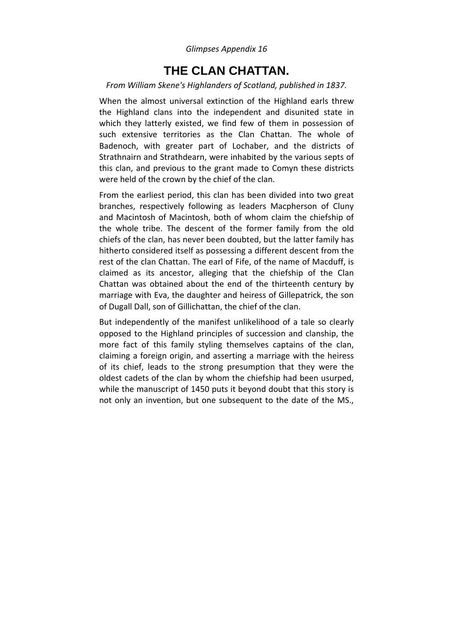*Glimpses Appendix 16*

## **THE CLAN CHATTAN.**

*From William Skene's Highlanders of Scotland, published in 1837.*

When the almost universal extinction of the Highland earls threw the Highland clans into the independent and disunited state in which they latterly existed, we find few of them in possession of such extensive territories as the Clan Chattan. The whole of Badenoch, with greater part of Lochaber, and the districts of Strathnairn and Strathdearn, were inhabited by the various septs of this clan, and previous to the grant made to Comyn these districts were held of the crown by the chief of the clan.

From the earliest period, this clan has been divided into two great branches, respectively following as leaders Macpherson of Cluny and Macintosh of Macintosh, both of whom claim the chiefship of the whole tribe. The descent of the former family from the old chiefs of the clan, has never been doubted, but the latter family has hitherto considered itself as possessing a different descent from the rest of the clan Chattan. The earl of Fife, of the name of Macduff, is claimed as its ancestor, alleging that the chiefship of the Clan Chattan was obtained about the end of the thirteenth century by marriage with Eva, the daughter and heiress of Gillepatrick, the son of Dugall Dall, son of Gillichattan, the chief of the clan.

But independently of the manifest unlikelihood of a tale so clearly opposed to the Highland principles of succession and clanship, the more fact of this family styling themselves captains of the clan, claiming a foreign origin, and asserting a marriage with the heiress of its chief, leads to the strong presumption that they were the oldest cadets of the clan by whom the chiefship had been usurped, while the manuscript of 1450 puts it beyond doubt that this story is not only an invention, but one subsequent to the date of the MS..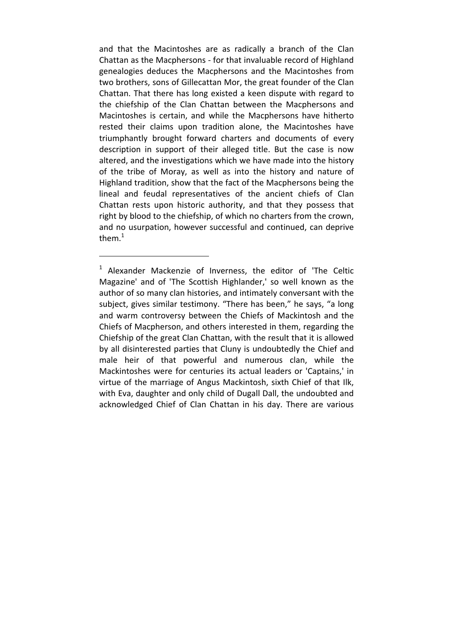and that the Macintoshes are as radically a branch of the Clan Chattan as the Macphersons ‐ for that invaluable record of Highland genealogies deduces the Macphersons and the Macintoshes from two brothers, sons of Gillecattan Mor, the great founder of the Clan Chattan. That there has long existed a keen dispute with regard to the chiefship of the Clan Chattan between the Macphersons and Macintoshes is certain, and while the Macphersons have hitherto rested their claims upon tradition alone, the Macintoshes have triumphantly brought forward charters and documents of every description in support of their alleged title. But the case is now altered, and the investigations which we have made into the history of the tribe of Moray, as well as into the history and nature of Highland tradition, show that the fact of the Macphersons being the lineal and feudal representatives of the ancient chiefs of Clan Chattan rests upon historic authority, and that they possess that right by blood to the chiefship, of which no charters from the crown, and no usurpation, however successful and continued, can deprive them.<sup>1</sup>

<u> 1989 - Johann Barbara, martxa al</u>

 $1$  Alexander Mackenzie of Inverness, the editor of 'The Celtic Magazine' and of 'The Scottish Highlander,' so well known as the author of so many clan histories, and intimately conversant with the subject, gives similar testimony. "There has been," he says, "a long and warm controversy between the Chiefs of Mackintosh and the Chiefs of Macpherson, and others interested in them, regarding the Chiefship of the great Clan Chattan, with the result that it is allowed by all disinterested parties that Cluny is undoubtedly the Chief and male heir of that powerful and numerous clan, while the Mackintoshes were for centuries its actual leaders or 'Captains,' in virtue of the marriage of Angus Mackintosh, sixth Chief of that Ilk, with Eva, daughter and only child of Dugall Dall, the undoubted and acknowledged Chief of Clan Chattan in his day. There are various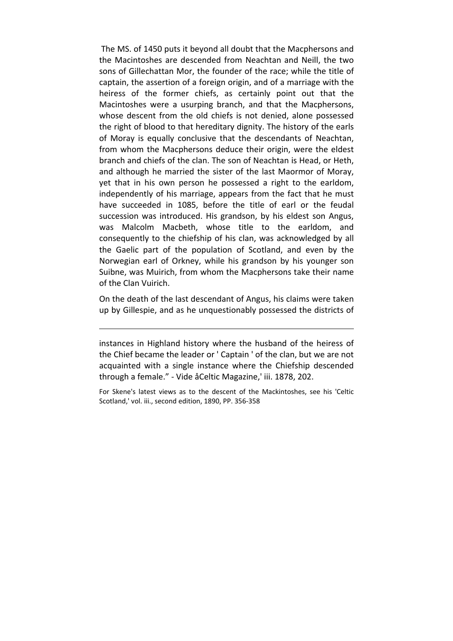The MS. of 1450 puts it beyond all doubt that the Macphersons and the Macintoshes are descended from Neachtan and Neill, the two sons of Gillechattan Mor, the founder of the race; while the title of captain, the assertion of a foreign origin, and of a marriage with the heiress of the former chiefs, as certainly point out that the Macintoshes were a usurping branch, and that the Macphersons, whose descent from the old chiefs is not denied, alone possessed the right of blood to that hereditary dignity. The history of the earls of Moray is equally conclusive that the descendants of Neachtan, from whom the Macphersons deduce their origin, were the eldest branch and chiefs of the clan. The son of Neachtan is Head, or Heth, and although he married the sister of the last Maormor of Moray, yet that in his own person he possessed a right to the earldom, independently of his marriage, appears from the fact that he must have succeeded in 1085, before the title of earl or the feudal succession was introduced. His grandson, by his eldest son Angus, was Malcolm Macbeth, whose title to the earldom, and consequently to the chiefship of his clan, was acknowledged by all the Gaelic part of the population of Scotland, and even by the Norwegian earl of Orkney, while his grandson by his younger son Suibne, was Muirich, from whom the Macphersons take their name of the Clan Vuirich.

On the death of the last descendant of Angus, his claims were taken up by Gillespie, and as he unquestionably possessed the districts of

instances in Highland history where the husband of the heiress of the Chief became the leader or ' Captain ' of the clan, but we are not acquainted with a single instance where the Chiefship descended through a female." ‐ Vide åCeltic Magazine,' iii. 1878, 202.

For Skene's latest views as to the descent of the Mackintoshes, see his 'Celtic Scotland,' vol. iii., second edition, 1890, PP. 356‐358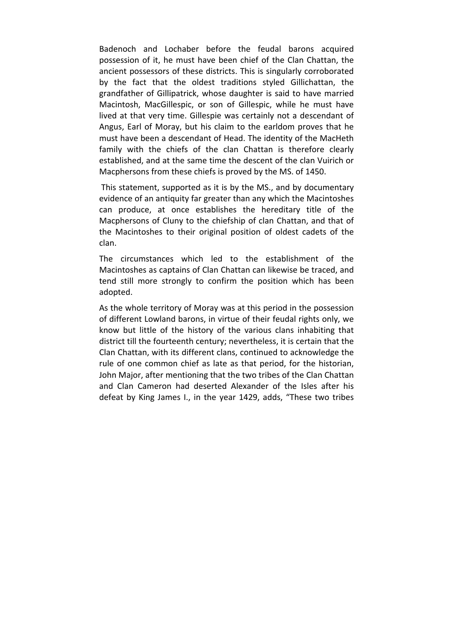Badenoch and Lochaber before the feudal barons acquired possession of it, he must have been chief of the Clan Chattan, the ancient possessors of these districts. This is singularly corroborated by the fact that the oldest traditions styled Gillichattan, the grandfather of Gillipatrick, whose daughter is said to have married Macintosh, MacGillespic, or son of Gillespic, while he must have lived at that very time. Gillespie was certainly not a descendant of Angus, Earl of Moray, but his claim to the earldom proves that he must have been a descendant of Head. The identity of the MacHeth family with the chiefs of the clan Chattan is therefore clearly established, and at the same time the descent of the clan Vuirich or Macphersons from these chiefs is proved by the MS. of 1450.

This statement, supported as it is by the MS., and by documentary evidence of an antiquity far greater than any which the Macintoshes can produce, at once establishes the hereditary title of the Macphersons of Cluny to the chiefship of clan Chattan, and that of the Macintoshes to their original position of oldest cadets of the clan.

The circumstances which led to the establishment of the Macintoshes as captains of Clan Chattan can likewise be traced, and tend still more strongly to confirm the position which has been adopted.

As the whole territory of Moray was at this period in the possession of different Lowland barons, in virtue of their feudal rights only, we know but little of the history of the various clans inhabiting that district till the fourteenth century; nevertheless, it is certain that the Clan Chattan, with its different clans, continued to acknowledge the rule of one common chief as late as that period, for the historian, John Major, after mentioning that the two tribes of the Clan Chattan and Clan Cameron had deserted Alexander of the Isles after his defeat by King James I., in the year 1429, adds, "These two tribes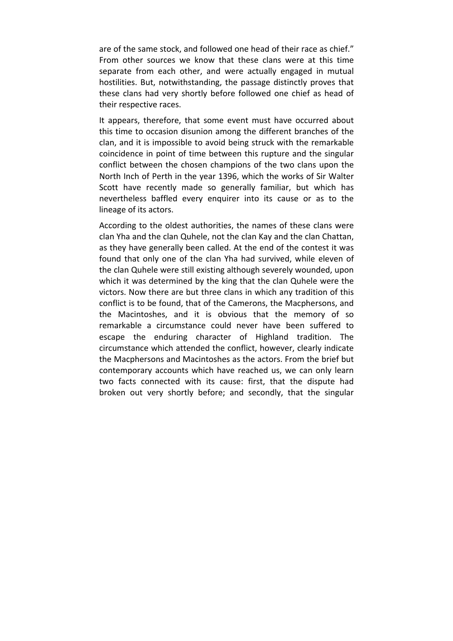are of the same stock, and followed one head of their race as chief." From other sources we know that these clans were at this time separate from each other, and were actually engaged in mutual hostilities. But, notwithstanding, the passage distinctly proves that these clans had very shortly before followed one chief as head of their respective races.

It appears, therefore, that some event must have occurred about this time to occasion disunion among the different branches of the clan, and it is impossible to avoid being struck with the remarkable coincidence in point of time between this rupture and the singular conflict between the chosen champions of the two clans upon the North Inch of Perth in the year 1396, which the works of Sir Walter Scott have recently made so generally familiar, but which has nevertheless baffled every enquirer into its cause or as to the lineage of its actors.

According to the oldest authorities, the names of these clans were clan Yha and the clan Quhele, not the clan Kay and the clan Chattan, as they have generally been called. At the end of the contest it was found that only one of the clan Yha had survived, while eleven of the clan Quhele were still existing although severely wounded, upon which it was determined by the king that the clan Quhele were the victors. Now there are but three clans in which any tradition of this conflict is to be found, that of the Camerons, the Macphersons, and the Macintoshes, and it is obvious that the memory of so remarkable a circumstance could never have been suffered to escape the enduring character of Highland tradition. The circumstance which attended the conflict, however, clearly indicate the Macphersons and Macintoshes as the actors. From the brief but contemporary accounts which have reached us, we can only learn two facts connected with its cause: first, that the dispute had broken out very shortly before; and secondly, that the singular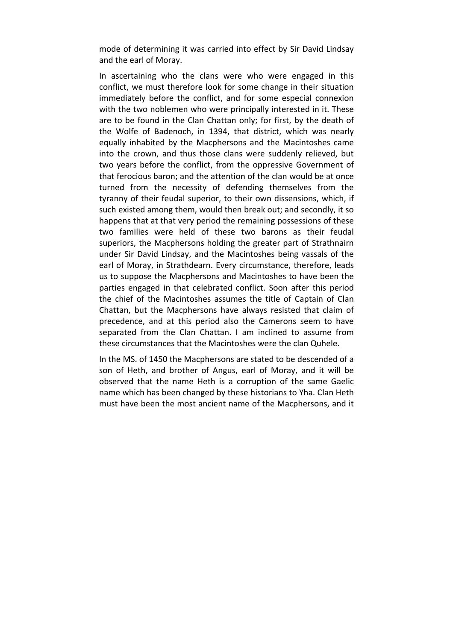mode of determining it was carried into effect by Sir David Lindsay and the earl of Moray.

In ascertaining who the clans were who were engaged in this conflict, we must therefore look for some change in their situation immediately before the conflict, and for some especial connexion with the two noblemen who were principally interested in it. These are to be found in the Clan Chattan only; for first, by the death of the Wolfe of Badenoch, in 1394, that district, which was nearly equally inhabited by the Macphersons and the Macintoshes came into the crown, and thus those clans were suddenly relieved, but two years before the conflict, from the oppressive Government of that ferocious baron; and the attention of the clan would be at once turned from the necessity of defending themselves from the tyranny of their feudal superior, to their own dissensions, which, if such existed among them, would then break out; and secondly, it so happens that at that very period the remaining possessions of these two families were held of these two barons as their feudal superiors, the Macphersons holding the greater part of Strathnairn under Sir David Lindsay, and the Macintoshes being vassals of the earl of Moray, in Strathdearn. Every circumstance, therefore, leads us to suppose the Macphersons and Macintoshes to have been the parties engaged in that celebrated conflict. Soon after this period the chief of the Macintoshes assumes the title of Captain of Clan Chattan, but the Macphersons have always resisted that claim of precedence, and at this period also the Camerons seem to have separated from the Clan Chattan. I am inclined to assume from these circumstances that the Macintoshes were the clan Quhele.

In the MS. of 1450 the Macphersons are stated to be descended of a son of Heth, and brother of Angus, earl of Moray, and it will be observed that the name Heth is a corruption of the same Gaelic name which has been changed by these historians to Yha. Clan Heth must have been the most ancient name of the Macphersons, and it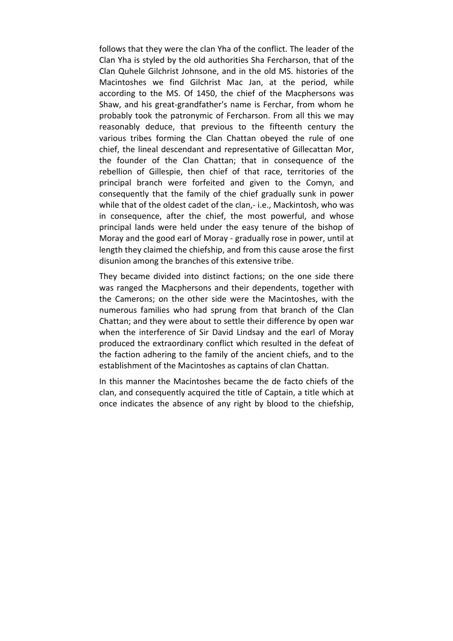follows that they were the clan Yha of the conflict. The leader of the Clan Yha is styled by the old authorities Sha Fercharson, that of the Clan Quhele Gilchrist Johnsone, and in the old MS. histories of the Macintoshes we find Gilchrist Mac Jan, at the period, while according to the MS. Of 1450, the chief of the Macphersons was Shaw, and his great‐grandfather's name is Ferchar, from whom he probably took the patronymic of Fercharson. From all this we may reasonably deduce, that previous to the fifteenth century the various tribes forming the Clan Chattan obeyed the rule of one chief, the lineal descendant and representative of Gillecattan Mor, the founder of the Clan Chattan; that in consequence of the rebellion of Gillespie, then chief of that race, territories of the principal branch were forfeited and given to the Comyn, and consequently that the family of the chief gradually sunk in power while that of the oldest cadet of the clan, - i.e., Mackintosh, who was in consequence, after the chief, the most powerful, and whose principal lands were held under the easy tenure of the bishop of Moray and the good earl of Moray ‐ gradually rose in power, until at length they claimed the chiefship, and from this cause arose the first disunion among the branches of this extensive tribe.

They became divided into distinct factions; on the one side there was ranged the Macphersons and their dependents, together with the Camerons; on the other side were the Macintoshes, with the numerous families who had sprung from that branch of the Clan Chattan; and they were about to settle their difference by open war when the interference of Sir David Lindsay and the earl of Moray produced the extraordinary conflict which resulted in the defeat of the faction adhering to the family of the ancient chiefs, and to the establishment of the Macintoshes as captains of clan Chattan.

In this manner the Macintoshes became the de facto chiefs of the clan, and consequently acquired the title of Captain, a title which at once indicates the absence of any right by blood to the chiefship,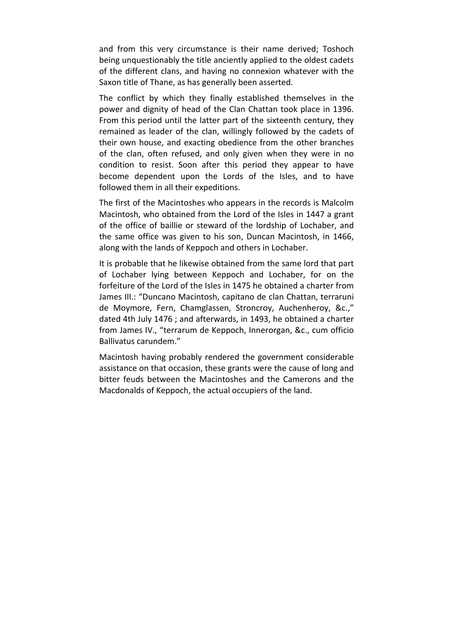and from this very circumstance is their name derived; Toshoch being unquestionably the title anciently applied to the oldest cadets of the different clans, and having no connexion whatever with the Saxon title of Thane, as has generally been asserted.

The conflict by which they finally established themselves in the power and dignity of head of the Clan Chattan took place in 1396. From this period until the latter part of the sixteenth century, they remained as leader of the clan, willingly followed by the cadets of their own house, and exacting obedience from the other branches of the clan, often refused, and only given when they were in no condition to resist. Soon after this period they appear to have become dependent upon the Lords of the Isles, and to have followed them in all their expeditions.

The first of the Macintoshes who appears in the records is Malcolm Macintosh, who obtained from the Lord of the Isles in 1447 a grant of the office of baillie or steward of the lordship of Lochaber, and the same office was given to his son, Duncan Macintosh, in 1466, along with the lands of Keppoch and others in Lochaber.

It is probable that he likewise obtained from the same lord that part of Lochaber lying between Keppoch and Lochaber, for on the forfeiture of the Lord of the Isles in 1475 he obtained a charter from James III.: "Duncano Macintosh, capitano de clan Chattan, terraruni de Moymore, Fern, Chamglassen, Stroncroy, Auchenheroy, &c.," dated 4th July 1476 ; and afterwards, in 1493, he obtained a charter from James IV., "terrarum de Keppoch, Innerorgan, &c., cum officio Ballivatus carundem."

Macintosh having probably rendered the government considerable assistance on that occasion, these grants were the cause of long and bitter feuds between the Macintoshes and the Camerons and the Macdonalds of Keppoch, the actual occupiers of the land.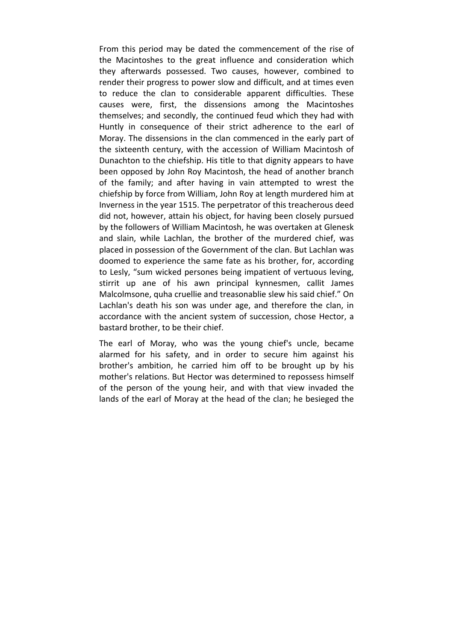From this period may be dated the commencement of the rise of the Macintoshes to the great influence and consideration which they afterwards possessed. Two causes, however, combined to render their progress to power slow and difficult, and at times even to reduce the clan to considerable apparent difficulties. These causes were, first, the dissensions among the Macintoshes themselves; and secondly, the continued feud which they had with Huntly in consequence of their strict adherence to the earl of Moray. The dissensions in the clan commenced in the early part of the sixteenth century, with the accession of William Macintosh of Dunachton to the chiefship. His title to that dignity appears to have been opposed by John Roy Macintosh, the head of another branch of the family; and after having in vain attempted to wrest the chiefship by force from William, John Roy at length murdered him at Inverness in the year 1515. The perpetrator of this treacherous deed did not, however, attain his object, for having been closely pursued by the followers of William Macintosh, he was overtaken at Glenesk and slain, while Lachlan, the brother of the murdered chief, was placed in possession of the Government of the clan. But Lachlan was doomed to experience the same fate as his brother, for, according to Lesly, "sum wicked persones being impatient of vertuous leving, stirrit up ane of his awn principal kynnesmen, callit James Malcolmsone, quha cruellie and treasonablie slew his said chief." On Lachlan's death his son was under age, and therefore the clan, in accordance with the ancient system of succession, chose Hector, a bastard brother, to be their chief.

The earl of Moray, who was the young chief's uncle, became alarmed for his safety, and in order to secure him against his brother's ambition, he carried him off to be brought up by his mother's relations. But Hector was determined to repossess himself of the person of the young heir, and with that view invaded the lands of the earl of Moray at the head of the clan; he besieged the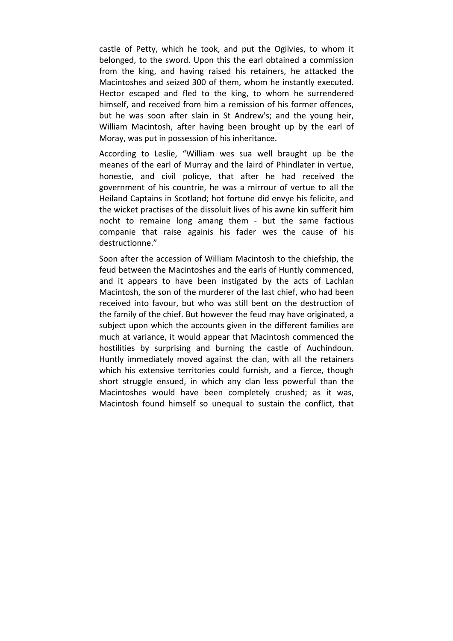castle of Petty, which he took, and put the Ogilvies, to whom it belonged, to the sword. Upon this the earl obtained a commission from the king, and having raised his retainers, he attacked the Macintoshes and seized 300 of them, whom he instantly executed. Hector escaped and fled to the king, to whom he surrendered himself, and received from him a remission of his former offences, but he was soon after slain in St Andrew's; and the young heir, William Macintosh, after having been brought up by the earl of Moray, was put in possession of his inheritance.

According to Leslie, "William wes sua well braught up be the meanes of the earl of Murray and the laird of Phindlater in vertue, honestie, and civil policye, that after he had received the government of his countrie, he was a mirrour of vertue to all the Heiland Captains in Scotland; hot fortune did envye his felicite, and the wicket practises of the dissoluit lives of his awne kin sufferit him nocht to remaine long amang them ‐ but the same factious companie that raise againis his fader wes the cause of his destructionne."

Soon after the accession of William Macintosh to the chiefship, the feud between the Macintoshes and the earls of Huntly commenced, and it appears to have been instigated by the acts of Lachlan Macintosh, the son of the murderer of the last chief, who had been received into favour, but who was still bent on the destruction of the family of the chief. But however the feud may have originated, a subject upon which the accounts given in the different families are much at variance, it would appear that Macintosh commenced the hostilities by surprising and burning the castle of Auchindoun. Huntly immediately moved against the clan, with all the retainers which his extensive territories could furnish, and a fierce, though short struggle ensued, in which any clan less powerful than the Macintoshes would have been completely crushed; as it was, Macintosh found himself so unequal to sustain the conflict, that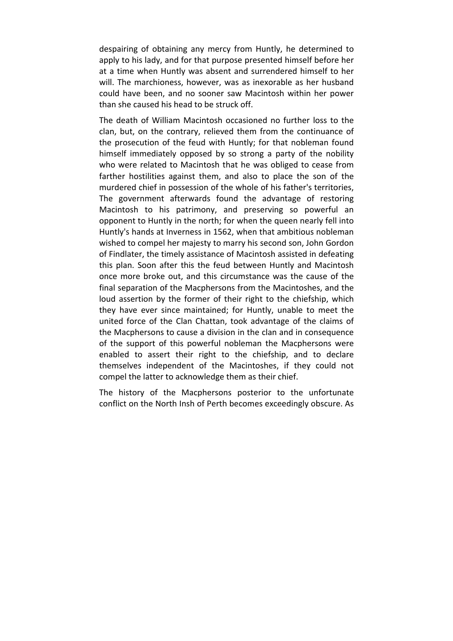despairing of obtaining any mercy from Huntly, he determined to apply to his lady, and for that purpose presented himself before her at a time when Huntly was absent and surrendered himself to her will. The marchioness, however, was as inexorable as her husband could have been, and no sooner saw Macintosh within her power than she caused his head to be struck off.

The death of William Macintosh occasioned no further loss to the clan, but, on the contrary, relieved them from the continuance of the prosecution of the feud with Huntly; for that nobleman found himself immediately opposed by so strong a party of the nobility who were related to Macintosh that he was obliged to cease from farther hostilities against them, and also to place the son of the murdered chief in possession of the whole of his father's territories, The government afterwards found the advantage of restoring Macintosh to his patrimony, and preserving so powerful an opponent to Huntly in the north; for when the queen nearly fell into Huntly's hands at Inverness in 1562, when that ambitious nobleman wished to compel her majesty to marry his second son, John Gordon of Findlater, the timely assistance of Macintosh assisted in defeating this plan. Soon after this the feud between Huntly and Macintosh once more broke out, and this circumstance was the cause of the final separation of the Macphersons from the Macintoshes, and the loud assertion by the former of their right to the chiefship, which they have ever since maintained; for Huntly, unable to meet the united force of the Clan Chattan, took advantage of the claims of the Macphersons to cause a division in the clan and in consequence of the support of this powerful nobleman the Macphersons were enabled to assert their right to the chiefship, and to declare themselves independent of the Macintoshes, if they could not compel the latter to acknowledge them as their chief.

The history of the Macphersons posterior to the unfortunate conflict on the North Insh of Perth becomes exceedingly obscure. As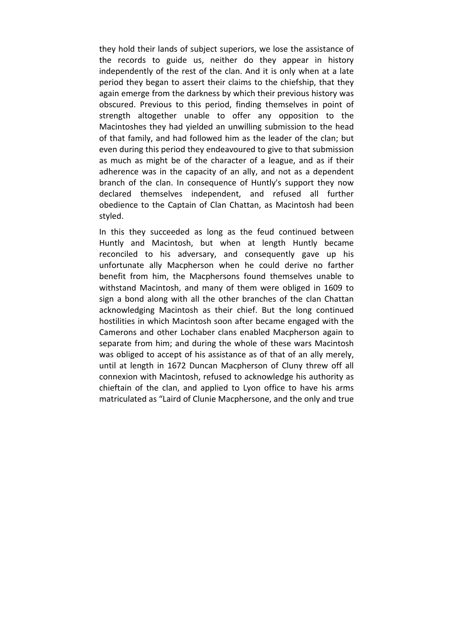they hold their lands of subject superiors, we lose the assistance of the records to guide us, neither do they appear in history independently of the rest of the clan. And it is only when at a late period they began to assert their claims to the chiefship, that they again emerge from the darkness by which their previous history was obscured. Previous to this period, finding themselves in point of strength altogether unable to offer any opposition to the Macintoshes they had yielded an unwilling submission to the head of that family, and had followed him as the leader of the clan; but even during this period they endeavoured to give to that submission as much as might be of the character of a league, and as if their adherence was in the capacity of an ally, and not as a dependent branch of the clan. In consequence of Huntly's support they now declared themselves independent, and refused all further obedience to the Captain of Clan Chattan, as Macintosh had been styled.

In this they succeeded as long as the feud continued between Huntly and Macintosh, but when at length Huntly became reconciled to his adversary, and consequently gave up his unfortunate ally Macpherson when he could derive no farther benefit from him, the Macphersons found themselves unable to withstand Macintosh, and many of them were obliged in 1609 to sign a bond along with all the other branches of the clan Chattan acknowledging Macintosh as their chief. But the long continued hostilities in which Macintosh soon after became engaged with the Camerons and other Lochaber clans enabled Macpherson again to separate from him; and during the whole of these wars Macintosh was obliged to accept of his assistance as of that of an ally merely, until at length in 1672 Duncan Macpherson of Cluny threw off all connexion with Macintosh, refused to acknowledge his authority as chieftain of the clan, and applied to Lyon office to have his arms matriculated as "Laird of Clunie Macphersone, and the only and true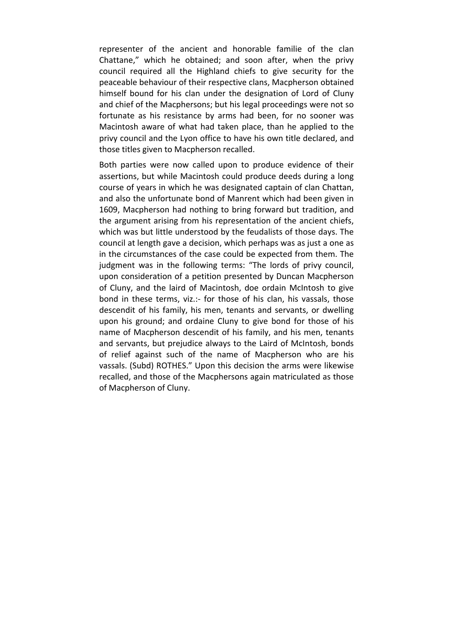representer of the ancient and honorable familie of the clan Chattane," which he obtained; and soon after, when the privy council required all the Highland chiefs to give security for the peaceable behaviour of their respective clans, Macpherson obtained himself bound for his clan under the designation of Lord of Cluny and chief of the Macphersons; but his legal proceedings were not so fortunate as his resistance by arms had been, for no sooner was Macintosh aware of what had taken place, than he applied to the privy council and the Lyon office to have his own title declared, and those titles given to Macpherson recalled.

Both parties were now called upon to produce evidence of their assertions, but while Macintosh could produce deeds during a long course of years in which he was designated captain of clan Chattan, and also the unfortunate bond of Manrent which had been given in 1609, Macpherson had nothing to bring forward but tradition, and the argument arising from his representation of the ancient chiefs, which was but little understood by the feudalists of those days. The council at length gave a decision, which perhaps was as just a one as in the circumstances of the case could be expected from them. The judgment was in the following terms: "The lords of privy council, upon consideration of a petition presented by Duncan Macpherson of Cluny, and the laird of Macintosh, doe ordain McIntosh to give bond in these terms, viz.:‐ for those of his clan, his vassals, those descendit of his family, his men, tenants and servants, or dwelling upon his ground; and ordaine Cluny to give bond for those of his name of Macpherson descendit of his family, and his men, tenants and servants, but prejudice always to the Laird of McIntosh, bonds of relief against such of the name of Macpherson who are his vassals. (Subd) ROTHES." Upon this decision the arms were likewise recalled, and those of the Macphersons again matriculated as those of Macpherson of Cluny.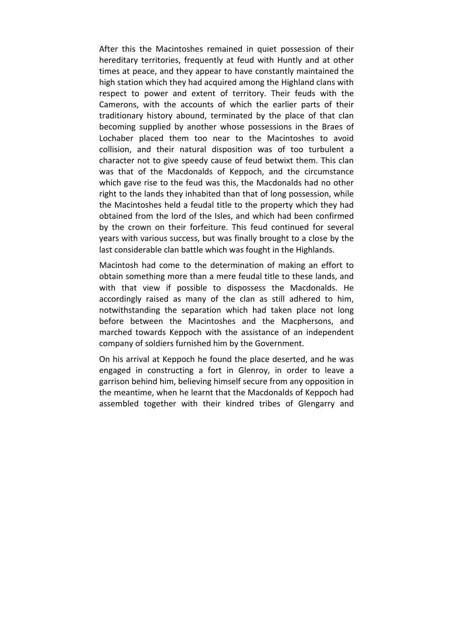After this the Macintoshes remained in quiet possession of their hereditary territories, frequently at feud with Huntly and at other times at peace, and they appear to have constantly maintained the high station which they had acquired among the Highland clans with respect to power and extent of territory. Their feuds with the Camerons, with the accounts of which the earlier parts of their traditionary history abound, terminated by the place of that clan becoming supplied by another whose possessions in the Braes of Lochaber placed them too near to the Macintoshes to avoid collision, and their natural disposition was of too turbulent a character not to give speedy cause of feud betwixt them. This clan was that of the Macdonalds of Keppoch, and the circumstance which gave rise to the feud was this, the Macdonalds had no other right to the lands they inhabited than that of long possession, while the Macintoshes held a feudal title to the property which they had obtained from the lord of the Isles, and which had been confirmed by the crown on their forfeiture. This feud continued for several years with various success, but was finally brought to a close by the last considerable clan battle which was fought in the Highlands.

Macintosh had come to the determination of making an effort to obtain something more than a mere feudal title to these lands, and with that view if possible to dispossess the Macdonalds. He accordingly raised as many of the clan as still adhered to him, notwithstanding the separation which had taken place not long before between the Macintoshes and the Macphersons, and marched towards Keppoch with the assistance of an independent company of soldiers furnished him by the Government.

On his arrival at Keppoch he found the place deserted, and he was engaged in constructing a fort in Glenroy, in order to leave a garrison behind him, believing himself secure from any opposition in the meantime, when he learnt that the Macdonalds of Keppoch had assembled together with their kindred tribes of Glengarry and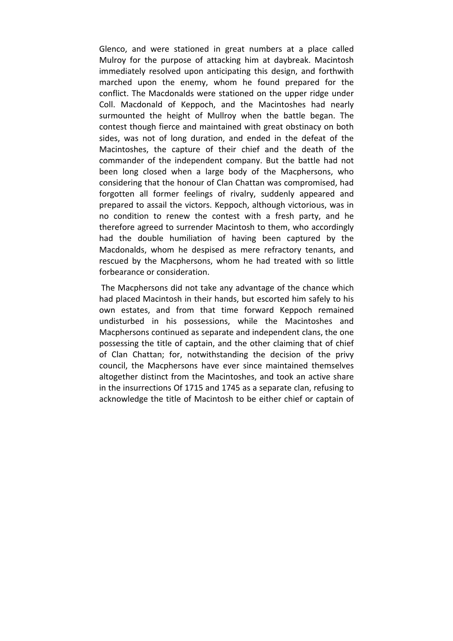Glenco, and were stationed in great numbers at a place called Mulroy for the purpose of attacking him at daybreak. Macintosh immediately resolved upon anticipating this design, and forthwith marched upon the enemy, whom he found prepared for the conflict. The Macdonalds were stationed on the upper ridge under Coll. Macdonald of Keppoch, and the Macintoshes had nearly surmounted the height of Mullroy when the battle began. The contest though fierce and maintained with great obstinacy on both sides, was not of long duration, and ended in the defeat of the Macintoshes, the capture of their chief and the death of the commander of the independent company. But the battle had not been long closed when a large body of the Macphersons, who considering that the honour of Clan Chattan was compromised, had forgotten all former feelings of rivalry, suddenly appeared and prepared to assail the victors. Keppoch, although victorious, was in no condition to renew the contest with a fresh party, and he therefore agreed to surrender Macintosh to them, who accordingly had the double humiliation of having been captured by the Macdonalds, whom he despised as mere refractory tenants, and rescued by the Macphersons, whom he had treated with so little forbearance or consideration.

The Macphersons did not take any advantage of the chance which had placed Macintosh in their hands, but escorted him safely to his own estates, and from that time forward Keppoch remained undisturbed in his possessions, while the Macintoshes and Macphersons continued as separate and independent clans, the one possessing the title of captain, and the other claiming that of chief of Clan Chattan; for, notwithstanding the decision of the privy council, the Macphersons have ever since maintained themselves altogether distinct from the Macintoshes, and took an active share in the insurrections Of 1715 and 1745 as a separate clan, refusing to acknowledge the title of Macintosh to be either chief or captain of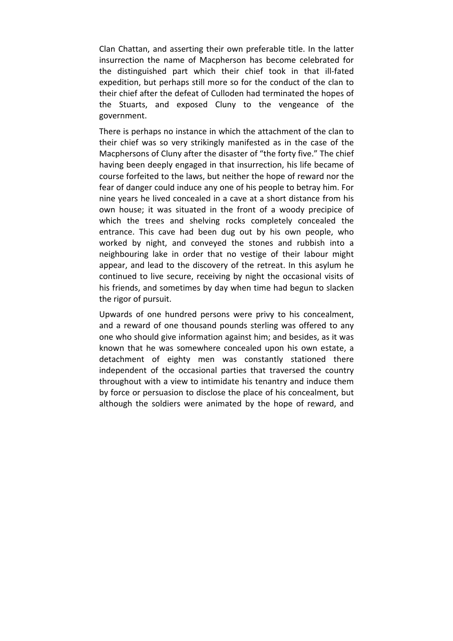Clan Chattan, and asserting their own preferable title. In the latter insurrection the name of Macpherson has become celebrated for the distinguished part which their chief took in that ill-fated expedition, but perhaps still more so for the conduct of the clan to their chief after the defeat of Culloden had terminated the hopes of the Stuarts, and exposed Cluny to the vengeance of the government.

There is perhaps no instance in which the attachment of the clan to their chief was so very strikingly manifested as in the case of the Macphersons of Cluny after the disaster of "the forty five." The chief having been deeply engaged in that insurrection, his life became of course forfeited to the laws, but neither the hope of reward nor the fear of danger could induce any one of his people to betray him. For nine years he lived concealed in a cave at a short distance from his own house; it was situated in the front of a woody precipice of which the trees and shelving rocks completely concealed the entrance. This cave had been dug out by his own people, who worked by night, and conveyed the stones and rubbish into a neighbouring lake in order that no vestige of their labour might appear, and lead to the discovery of the retreat. In this asylum he continued to live secure, receiving by night the occasional visits of his friends, and sometimes by day when time had begun to slacken the rigor of pursuit.

Upwards of one hundred persons were privy to his concealment, and a reward of one thousand pounds sterling was offered to any one who should give information against him; and besides, as it was known that he was somewhere concealed upon his own estate, a detachment of eighty men was constantly stationed there independent of the occasional parties that traversed the country throughout with a view to intimidate his tenantry and induce them by force or persuasion to disclose the place of his concealment, but although the soldiers were animated by the hope of reward, and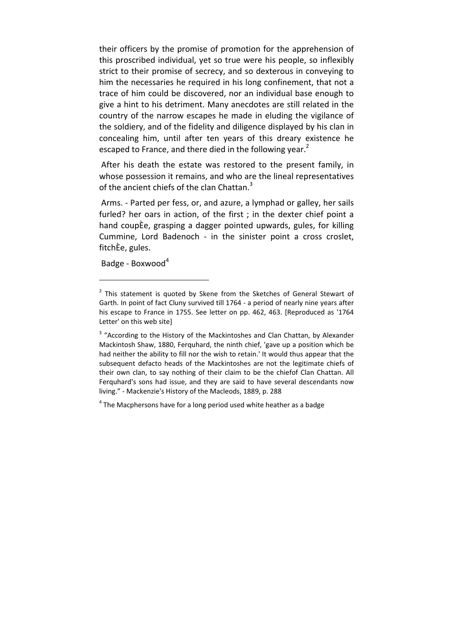their officers by the promise of promotion for the apprehension of this proscribed individual, yet so true were his people, so inflexibly strict to their promise of secrecy, and so dexterous in conveying to him the necessaries he required in his long confinement, that not a trace of him could be discovered, nor an individual base enough to give a hint to his detriment. Many anecdotes are still related in the country of the narrow escapes he made in eluding the vigilance of the soldiery, and of the fidelity and diligence displayed by his clan in concealing him, until after ten years of this dreary existence he escaped to France, and there died in the following year.<sup>2</sup>

After his death the estate was restored to the present family, in whose possession it remains, and who are the lineal representatives of the ancient chiefs of the clan Chattan $3$ 

Arms. ‐ Parted per fess, or, and azure, a lymphad or galley, her sails furled? her oars in action, of the first ; in the dexter chief point a hand coupÈe, grasping a dagger pointed upwards, gules, for killing Cummine, Lord Badenoch - in the sinister point a cross croslet. fitchÈe, gules.

Badge ‐ Boxwood<sup>4</sup>

<u> 1989 - Johann Barbara, martxa al</u>

 $2$  This statement is quoted by Skene from the Sketches of General Stewart of Garth. In point of fact Cluny survived till 1764 ‐ a period of nearly nine years after his escape to France in 1755. See letter on pp. 462, 463. [Reproduced as '1764 Letter' on this web site]

<sup>&</sup>lt;sup>3</sup> "According to the History of the Mackintoshes and Clan Chattan, by Alexander Mackintosh Shaw, 1880, Ferquhard, the ninth chief, 'gave up a position which be had neither the ability to fill nor the wish to retain.' It would thus appear that the subsequent defacto heads of the Mackintoshes are not the legitimate chiefs of their own clan, to say nothing of their claim to be the chiefof Clan Chattan. All Ferquhard's sons had issue, and they are said to have several descendants now living." ‐ Mackenzie's History of the Macleods, 1889, p. 288

 $4$  The Macphersons have for a long period used white heather as a badge